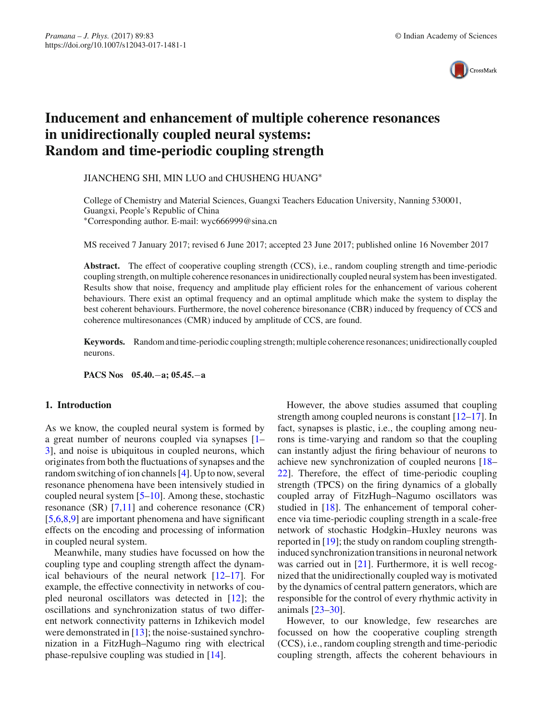

# **Inducement and enhancement of multiple coherence resonances in unidirectionally coupled neural systems: Random and time-periodic coupling strength**

JIANCHENG SHI, MIN LUO and CHUSHENG HUANG∗

College of Chemistry and Material Sciences, Guangxi Teachers Education University, Nanning 530001, Guangxi, People's Republic of China ∗Corresponding author. E-mail: wyc666999@sina.cn

MS received 7 January 2017; revised 6 June 2017; accepted 23 June 2017; published online 16 November 2017

**Abstract.** The effect of cooperative coupling strength (CCS), i.e., random coupling strength and time-periodic coupling strength, on multiple coherence resonances in unidirectionally coupled neural system has been investigated. Results show that noise, frequency and amplitude play efficient roles for the enhancement of various coherent behaviours. There exist an optimal frequency and an optimal amplitude which make the system to display the best coherent behaviours. Furthermore, the novel coherence biresonance (CBR) induced by frequency of CCS and coherence multiresonances (CMR) induced by amplitude of CCS, are found.

**Keywords.** Random and time-periodic coupling strength; multiple coherence resonances; unidirectionally coupled neurons.

**PACS Nos 05.40.**−**a; 05.45.**−**a**

### **1. Introduction**

As we know, the coupled neural system is formed by a great number of neurons coupled via synapses [\[1–](#page-6-0) [3\]](#page-6-1), and noise is ubiquitous in coupled neurons, which originates from both the fluctuations of synapses and the random switching of ion channels [\[4](#page-6-2)]. Up to now, several resonance phenomena have been intensively studied in coupled neural system [\[5](#page-6-3)[–10](#page-6-4)]. Among these, stochastic resonance (SR) [\[7](#page-6-5)[,11\]](#page-6-6) and coherence resonance (CR) [\[5](#page-6-3)[,6](#page-6-7)[,8](#page-6-8)[,9](#page-6-9)] are important phenomena and have significant effects on the encoding and processing of information in coupled neural system.

Meanwhile, many studies have focussed on how the coupling type and coupling strength affect the dynamical behaviours of the neural network [\[12](#page-6-10)[–17](#page-7-0)]. For example, the effective connectivity in networks of coupled neuronal oscillators was detected in [\[12](#page-6-10)]; the oscillations and synchronization status of two different network connectivity patterns in Izhikevich model were demonstrated in [\[13\]](#page-7-1); the noise-sustained synchronization in a FitzHugh–Nagumo ring with electrical phase-repulsive coupling was studied in [\[14\]](#page-7-2).

However, the above studies assumed that coupling strength among coupled neurons is constant  $[12-17]$  $[12-17]$ . In fact, synapses is plastic, i.e., the coupling among neurons is time-varying and random so that the coupling can instantly adjust the firing behaviour of neurons to achieve new synchronization of coupled neurons [\[18](#page-7-3)– [22\]](#page-7-4). Therefore, the effect of time-periodic coupling strength (TPCS) on the firing dynamics of a globally coupled array of FitzHugh–Nagumo oscillators was studied in [\[18\]](#page-7-3). The enhancement of temporal coherence via time-periodic coupling strength in a scale-free network of stochastic Hodgkin–Huxley neurons was reported in [\[19](#page-7-5)]; the study on random coupling strengthinduced synchronization transitions in neuronal network was carried out in [\[21](#page-7-6)]. Furthermore, it is well recognized that the unidirectionally coupled way is motivated by the dynamics of central pattern generators, which are responsible for the control of every rhythmic activity in animals [\[23](#page-7-7)[–30](#page-7-8)].

However, to our knowledge, few researches are focussed on how the cooperative coupling strength (CCS), i.e., random coupling strength and time-periodic coupling strength, affects the coherent behaviours in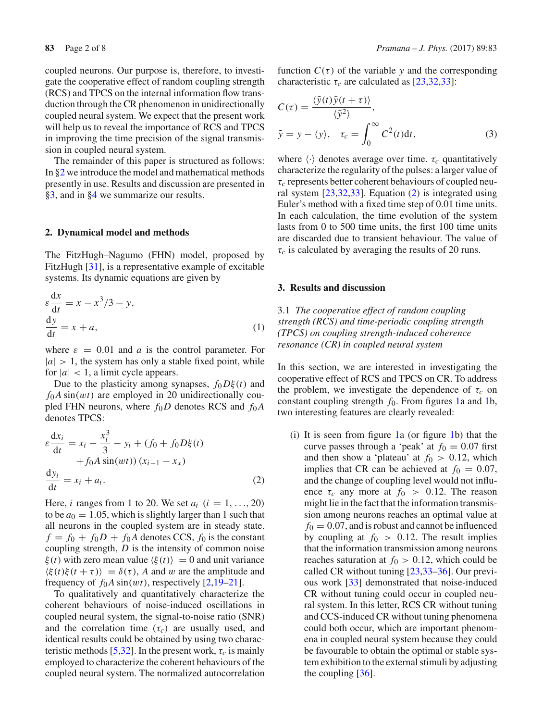coupled neurons. Our purpose is, therefore, to investigate the cooperative effect of random coupling strength (RCS) and TPCS on the internal information flow transduction through the CR phenomenon in unidirectionally coupled neural system. We expect that the present work will help us to reveal the importance of RCS and TPCS in improving the time precision of the signal transmission in coupled neural system.

The remainder of this paper is structured as follows: In [§2](#page-1-0) we introduce the model and mathematical methods presently in use. Results and discussion are presented in [§3,](#page-1-1) and in [§4](#page-6-11) we summarize our results.

#### <span id="page-1-0"></span>**2. Dynamical model and methods**

The FitzHugh–Nagumo (FHN) model, proposed by FitzHugh [\[31](#page-7-9)], is a representative example of excitable systems. Its dynamic equations are given by

$$
\varepsilon \frac{dx}{dt} = x - x^3/3 - y,
$$
  
\n
$$
\frac{dy}{dt} = x + a,
$$
\n(1)

where  $\varepsilon = 0.01$  and *a* is the control parameter. For  $|a| > 1$ , the system has only a stable fixed point, while for  $|a| < 1$ , a limit cycle appears.

Due to the plasticity among synapses,  $f_0D\xi(t)$  and  $f_0A\sin(wt)$  are employed in 20 unidirectionally coupled FHN neurons, where  $f_0D$  denotes RCS and  $f_0A$ denotes TPCS:

<span id="page-1-2"></span>
$$
\varepsilon \frac{dx_i}{dt} = x_i - \frac{x_i^3}{3} - y_i + (f_0 + f_0 D\xi(t) + f_0 A \sin(wt)) (x_{i-1} - x_x) \n\frac{dy_i}{dt} = x_i + a_i.
$$
\n(2)

Here, *i* ranges from 1 to 20. We set  $a_i$   $(i = 1, \ldots, 20)$ to be  $a_0 = 1.05$ , which is slightly larger than 1 such that all neurons in the coupled system are in steady state.  $f = f_0 + f_0 D + f_0 A$  denotes CCS,  $f_0$  is the constant coupling strength, *D* is the intensity of common noise  $\xi(t)$  with zero mean value  $\langle \xi(t) \rangle = 0$  and unit variance  $\langle \xi(t)\xi(t+\tau) \rangle = \delta(\tau)$ , *A* and *w* are the amplitude and frequency of  $f_0A\sin(wt)$ , respectively  $[2,19-21]$  $[2,19-21]$  $[2,19-21]$ .

To qualitatively and quantitatively characterize the coherent behaviours of noise-induced oscillations in coupled neural system, the signal-to-noise ratio (SNR) and the correlation time  $(\tau_c)$  are usually used, and identical results could be obtained by using two charac-teristic methods [\[5](#page-6-3)[,32](#page-7-10)]. In the present work,  $\tau_c$  is mainly employed to characterize the coherent behaviours of the coupled neural system. The normalized autocorrelation function  $C(\tau)$  of the variable *y* and the corresponding characteristic  $\tau_c$  are calculated as [\[23](#page-7-7)[,32](#page-7-10)[,33\]](#page-7-11):

$$
C(\tau) = \frac{\langle \tilde{y}(t)\tilde{y}(t+\tau) \rangle}{\langle \tilde{y}^2 \rangle},
$$
  

$$
\tilde{y} = y - \langle y \rangle, \quad \tau_c = \int_0^\infty C^2(t) \mathrm{d}t,
$$
 (3)

where  $\langle \cdot \rangle$  denotes average over time.  $\tau_c$  quantitatively characterize the regularity of the pulses: a larger value of τ*<sup>c</sup>* represents better coherent behaviours of coupled neural system  $[23,32,33]$  $[23,32,33]$  $[23,32,33]$  $[23,32,33]$ . Equation [\(2\)](#page-1-2) is integrated using Euler's method with a fixed time step of 0.01 time units. In each calculation, the time evolution of the system lasts from 0 to 500 time units, the first 100 time units are discarded due to transient behaviour. The value of  $\tau_c$  is calculated by averaging the results of 20 runs.

#### <span id="page-1-1"></span>**3. Results and discussion**

3.1 *The cooperative effect of random coupling strength (RCS) and time-periodic coupling strength (TPCS) on coupling strength-induced coherence resonance (CR) in coupled neural system*

In this section, we are interested in investigating the cooperative effect of RCS and TPCS on CR. To address the problem, we investigate the dependence of  $\tau_c$  on constant coupling strength *f*0. From figures [1a](#page-2-0) and [1b](#page-2-0), two interesting features are clearly revealed:

(i) It is seen from figure [1a](#page-2-0) (or figure [1b](#page-2-0)) that the curve passes through a 'peak' at  $f_0 = 0.07$  first and then show a 'plateau' at  $f_0 > 0.12$ , which implies that CR can be achieved at  $f_0 = 0.07$ , and the change of coupling level would not influence  $\tau_c$  any more at  $f_0 > 0.12$ . The reason might lie in the fact that the information transmission among neurons reaches an optimal value at  $f_0 = 0.07$ , and is robust and cannot be influenced by coupling at  $f_0 > 0.12$ . The result implies that the information transmission among neurons reaches saturation at  $f_0 > 0.12$ , which could be called CR without tuning [\[23](#page-7-7)[,33](#page-7-11)[–36](#page-7-12)]. Our previous work [\[33\]](#page-7-11) demonstrated that noise-induced CR without tuning could occur in coupled neural system. In this letter, RCS CR without tuning and CCS-induced CR without tuning phenomena could both occur, which are important phenomena in coupled neural system because they could be favourable to obtain the optimal or stable system exhibition to the external stimuli by adjusting the coupling [\[36\]](#page-7-12).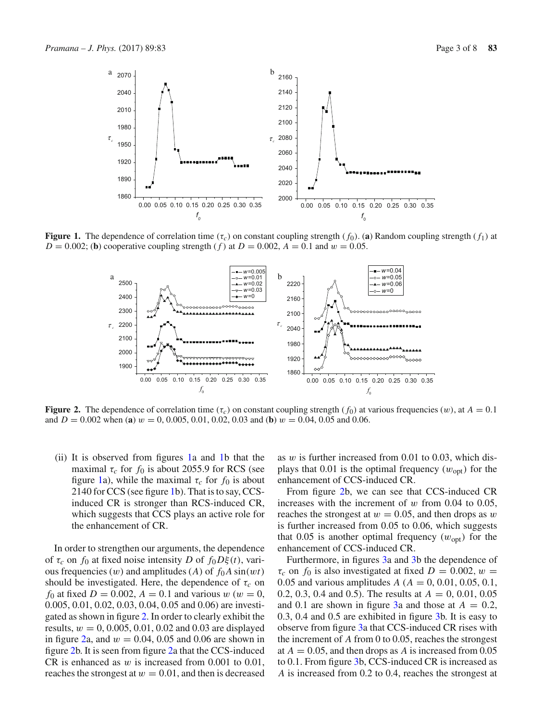

**Figure 1.** The dependence of correlation time ( $\tau_c$ ) on constant coupling strength ( $f_0$ ). (**a**) Random coupling strength ( $f_1$ ) at  $D = 0.002$ ; (**b**) cooperative coupling strength (*f*) at  $D = 0.002$ ,  $A = 0.1$  and  $w = 0.05$ .

<span id="page-2-0"></span>

<span id="page-2-1"></span>**Figure 2.** The dependence of correlation time ( $\tau_c$ ) on constant coupling strength ( $f_0$ ) at various frequencies (w), at  $A = 0.1$ and  $D = 0.002$  when (**a**)  $w = 0, 0.005, 0.01, 0.02, 0.03$  and (**b**)  $w = 0.04, 0.05$  and 0.06.

(ii) It is observed from figures [1a](#page-2-0) and [1b](#page-2-0) that the maximal  $\tau_c$  for  $f_0$  is about 2055.9 for RCS (see figure [1a](#page-2-0)), while the maximal  $\tau_c$  for  $f_0$  is about 2140 for CCS (see figure [1b](#page-2-0)). That is to say, CCSinduced CR is stronger than RCS-induced CR, which suggests that CCS plays an active role for the enhancement of CR.

In order to strengthen our arguments, the dependence of  $\tau_c$  on  $f_0$  at fixed noise intensity *D* of  $f_0D\xi(t)$ , various frequencies  $(w)$  and amplitudes  $(A)$  of  $f_0A\sin(wt)$ should be investigated. Here, the dependence of  $\tau_c$  on *f*<sub>0</sub> at fixed *D* = 0.002, *A* = 0.1 and various *w* (*w* = 0, 0.005, 0.01, 0.02, 0.03, 0.04, 0.05 and 0.06) are investigated as shown in figure [2.](#page-2-1) In order to clearly exhibit the results,  $w = 0, 0.005, 0.01, 0.02$  and 0.03 are displayed in figure [2a](#page-2-1), and  $w = 0.04, 0.05$  and 0.06 are shown in figure [2b](#page-2-1). It is seen from figure [2a](#page-2-1) that the CCS-induced CR is enhanced as  $w$  is increased from 0.001 to 0.01, reaches the strongest at  $w = 0.01$ , and then is decreased as  $w$  is further increased from 0.01 to 0.03, which displays that 0.01 is the optimal frequency ( $w_{\text{opt}}$ ) for the enhancement of CCS-induced CR.

From figure [2b](#page-2-1), we can see that CCS-induced CR increases with the increment of  $w$  from 0.04 to 0.05, reaches the strongest at  $w = 0.05$ , and then drops as w is further increased from 0.05 to 0.06, which suggests that 0.05 is another optimal frequency  $(w_{opt})$  for the enhancement of CCS-induced CR.

Furthermore, in figures [3a](#page-3-0) and [3b](#page-3-0) the dependence of  $\tau_c$  on  $f_0$  is also investigated at fixed  $D = 0.002$ ,  $w =$ 0.05 and various amplitudes *A* (*A* = 0, 0.01, 0.05, 0.1, 0.2, 0.3, 0.4 and 0.5). The results at *A* = 0, 0.01, 0.05 and 0.1 are shown in figure [3a](#page-3-0) and those at  $A = 0.2$ , 0.3, 0.4 and 0.5 are exhibited in figure [3b](#page-3-0). It is easy to observe from figure [3a](#page-3-0) that CCS-induced CR rises with the increment of *A* from 0 to 0.05, reaches the strongest at  $A = 0.05$ , and then drops as  $A$  is increased from 0.05 to 0.1. From figure [3b](#page-3-0), CCS-induced CR is increased as *A* is increased from 0.2 to 0.4, reaches the strongest at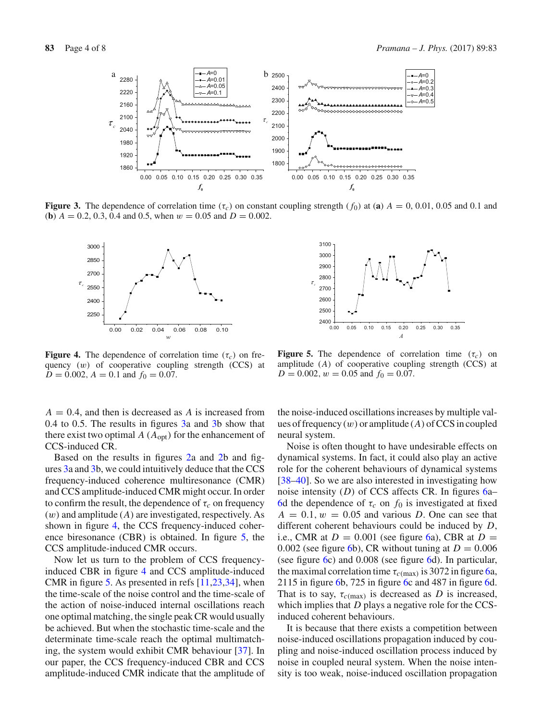

**Figure 3.** The dependence of correlation time  $(\tau_c)$  on constant coupling strength  $(f_0)$  at (a)  $A = 0, 0.01, 0.05$  and 0.1 and (**b**)  $A = 0.2, 0.3, 0.4$  and 0.5, when  $w = 0.05$  and  $D = 0.002$ .

<span id="page-3-0"></span>

<span id="page-3-1"></span>**Figure 4.** The dependence of correlation time ( $\tau_c$ ) on frequency  $(w)$  of cooperative coupling strength (CCS) at  $D = 0.002$ ,  $A = 0.1$  and  $f_0 = 0.07$ .

 $A = 0.4$ , and then is decreased as *A* is increased from 0.4 to 0.5. The results in figures [3a](#page-3-0) and [3b](#page-3-0) show that there exist two optimal  $A(A_{opt})$  for the enhancement of CCS-induced CR.

Based on the results in figures [2a](#page-2-1) and [2b](#page-2-1) and figures [3a](#page-3-0) and [3b](#page-3-0), we could intuitively deduce that the CCS frequency-induced coherence multiresonance (CMR) and CCS amplitude-induced CMR might occur. In order to confirm the result, the dependence of  $\tau_c$  on frequency (w) and amplitude (*A*) are investigated, respectively. As shown in figure [4,](#page-3-1) the CCS frequency-induced coherence biresonance (CBR) is obtained. In figure [5,](#page-3-2) the CCS amplitude-induced CMR occurs.

Now let us turn to the problem of CCS frequencyinduced CBR in figure [4](#page-3-1) and CCS amplitude-induced CMR in figure [5.](#page-3-2) As presented in refs [\[11](#page-6-6)[,23](#page-7-7)[,34\]](#page-7-13), when the time-scale of the noise control and the time-scale of the action of noise-induced internal oscillations reach one optimal matching, the single peak CR would usually be achieved. But when the stochastic time-scale and the determinate time-scale reach the optimal multimatching, the system would exhibit CMR behaviour [\[37\]](#page-7-14). In our paper, the CCS frequency-induced CBR and CCS amplitude-induced CMR indicate that the amplitude of



<span id="page-3-2"></span>**Figure 5.** The dependence of correlation time  $(\tau_c)$  on amplitude (*A*) of cooperative coupling strength (CCS) at  $D = 0.002$ ,  $w = 0.05$  and  $f_0 = 0.07$ .

the noise-induced oscillations increases by multiple values of frequency (w) or amplitude (*A*) of CCS in coupled neural system.

Noise is often thought to have undesirable effects on dynamical systems. In fact, it could also play an active role for the coherent behaviours of dynamical systems [\[38](#page-7-15)[–40\]](#page-7-16). So we are also interested in investigating how noise intensity (*D*) of CCS affects CR. In figures [6a](#page-4-0)– [6d](#page-4-0) the dependence of  $\tau_c$  on  $f_0$  is investigated at fixed  $A = 0.1, w = 0.05$  and various *D*. One can see that different coherent behaviours could be induced by *D*, i.e., CMR at  $D = 0.001$  (see figure [6a](#page-4-0)), CBR at  $D =$ 0.002 (see figure [6b](#page-4-0)), CR without tuning at  $D = 0.006$ (see figure [6c](#page-4-0)) and 0.008 (see figure [6d](#page-4-0)). In particular, the maximal correlation time  $\tau_{c(\text{max})}$  is 3072 in figure [6a](#page-4-0), 2115 in figure [6b](#page-4-0), 725 in figure [6c](#page-4-0) and 487 in figure [6d](#page-4-0). That is to say,  $\tau_{c(max)}$  is decreased as *D* is increased, which implies that *D* plays a negative role for the CCSinduced coherent behaviours.

It is because that there exists a competition between noise-induced oscillations propagation induced by coupling and noise-induced oscillation process induced by noise in coupled neural system. When the noise intensity is too weak, noise-induced oscillation propagation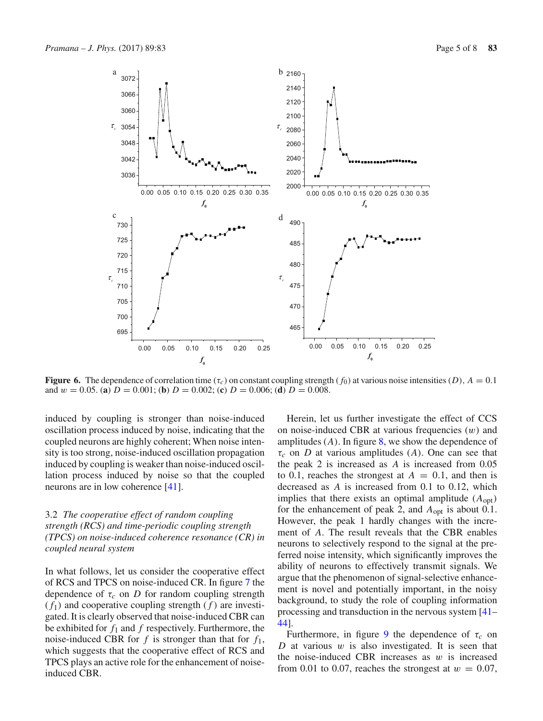

<span id="page-4-0"></span>**Figure 6.** The dependence of correlation time ( $\tau_c$ ) on constant coupling strength ( $f_0$ ) at various noise intensities (*D*),  $A = 0.1$ and  $w = 0.05$ . (**a**)  $D = 0.001$ ; (**b**)  $D = 0.002$ ; (**c**)  $D = 0.006$ ; (**d**)  $D = 0.008$ .

induced by coupling is stronger than noise-induced oscillation process induced by noise, indicating that the coupled neurons are highly coherent; When noise intensity is too strong, noise-induced oscillation propagation induced by coupling is weaker than noise-induced oscillation process induced by noise so that the coupled neurons are in low coherence [\[41\]](#page-7-17).

# 3.2 *The cooperative effect of random coupling strength (RCS) and time-periodic coupling strength (TPCS) on noise-induced coherence resonance (CR) in coupled neural system*

In what follows, let us consider the cooperative effect of RCS and TPCS on noise-induced CR. In figure [7](#page-5-0) the dependence of  $\tau_c$  on *D* for random coupling strength  $(f_1)$  and cooperative coupling strength  $(f)$  are investigated. It is clearly observed that noise-induced CBR can be exhibited for *f*<sup>1</sup> and *f* respectively. Furthermore, the noise-induced CBR for  $f$  is stronger than that for  $f_1$ , which suggests that the cooperative effect of RCS and TPCS plays an active role for the enhancement of noiseinduced CBR.

Herein, let us further investigate the effect of CCS on noise-induced CBR at various frequencies  $(w)$  and amplitudes  $(A)$ . In figure  $\frac{8}{3}$ , we show the dependence of  $\tau_c$  on *D* at various amplitudes (*A*). One can see that the peak 2 is increased as *A* is increased from 0.05 to 0.1, reaches the strongest at  $A = 0.1$ , and then is decreased as *A* is increased from 0.1 to 0.12, which implies that there exists an optimal amplitude  $(A_{opt})$ for the enhancement of peak 2, and *A*opt is about 0.1. However, the peak 1 hardly changes with the increment of *A*. The result reveals that the CBR enables neurons to selectively respond to the signal at the preferred noise intensity, which significantly improves the ability of neurons to effectively transmit signals. We argue that the phenomenon of signal-selective enhancement is novel and potentially important, in the noisy background, to study the role of coupling information processing and transduction in the nervous system [\[41](#page-7-17)– [44\]](#page-7-18).

Furthermore, in figure [9](#page-5-2) the dependence of  $\tau_c$  on *D* at various w is also investigated. It is seen that the noise-induced CBR increases as  $w$  is increased from 0.01 to 0.07, reaches the strongest at  $w = 0.07$ ,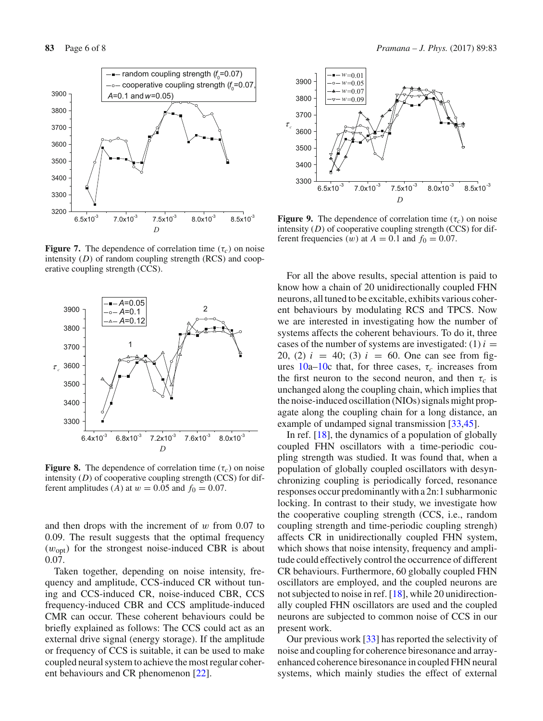

<span id="page-5-0"></span>**Figure 7.** The dependence of correlation time ( $\tau_c$ ) on noise intensity (*D*) of random coupling strength (RCS) and cooperative coupling strength (CCS).



<span id="page-5-1"></span>**Figure 8.** The dependence of correlation time ( $\tau_c$ ) on noise intensity (*D*) of cooperative coupling strength (CCS) for different amplitudes (*A*) at  $w = 0.05$  and  $f_0 = 0.07$ .

and then drops with the increment of  $w$  from 0.07 to 0.09. The result suggests that the optimal frequency  $(w_{opt})$  for the strongest noise-induced CBR is about 0.07.

Taken together, depending on noise intensity, frequency and amplitude, CCS-induced CR without tuning and CCS-induced CR, noise-induced CBR, CCS frequency-induced CBR and CCS amplitude-induced CMR can occur. These coherent behaviours could be briefly explained as follows: The CCS could act as an external drive signal (energy storage). If the amplitude or frequency of CCS is suitable, it can be used to make coupled neural system to achieve the most regular coherent behaviours and CR phenomenon [\[22](#page-7-4)].



<span id="page-5-2"></span>**Figure 9.** The dependence of correlation time  $(\tau_c)$  on noise intensity (*D*) of cooperative coupling strength (CCS) for different frequencies (w) at  $A = 0.1$  and  $f_0 = 0.07$ .

For all the above results, special attention is paid to know how a chain of 20 unidirectionally coupled FHN neurons, all tuned to be excitable, exhibits various coherent behaviours by modulating RCS and TPCS. Now we are interested in investigating how the number of systems affects the coherent behaviours. To do it, three cases of the number of systems are investigated: (1)  $i =$ 20, (2)  $i = 40$ ; (3)  $i = 60$ . One can see from figures  $10a-10c$  that, for three cases,  $\tau_c$  increases from the first neuron to the second neuron, and then  $\tau_c$  is unchanged along the coupling chain, which implies that the noise-induced oscillation (NIOs) signals might propagate along the coupling chain for a long distance, an example of undamped signal transmission [\[33](#page-7-11)[,45\]](#page-7-19).

In ref. [\[18\]](#page-7-3), the dynamics of a population of globally coupled FHN oscillators with a time-periodic coupling strength was studied. It was found that, when a population of globally coupled oscillators with desynchronizing coupling is periodically forced, resonance responses occur predominantly with a 2n:1 subharmonic locking. In contrast to their study, we investigate how the cooperative coupling strength (CCS, i.e., random coupling strength and time-periodic coupling strengh) affects CR in unidirectionally coupled FHN system, which shows that noise intensity, frequency and amplitude could effectively control the occurrence of different CR behaviours. Furthermore, 60 globally coupled FHN oscillators are employed, and the coupled neurons are not subjected to noise in ref. [\[18](#page-7-3)], while 20 unidirectionally coupled FHN oscillators are used and the coupled neurons are subjected to common noise of CCS in our present work.

Our previous work [\[33\]](#page-7-11) has reported the selectivity of noise and coupling for coherence biresonance and arrayenhanced coherence biresonance in coupled FHN neural systems, which mainly studies the effect of external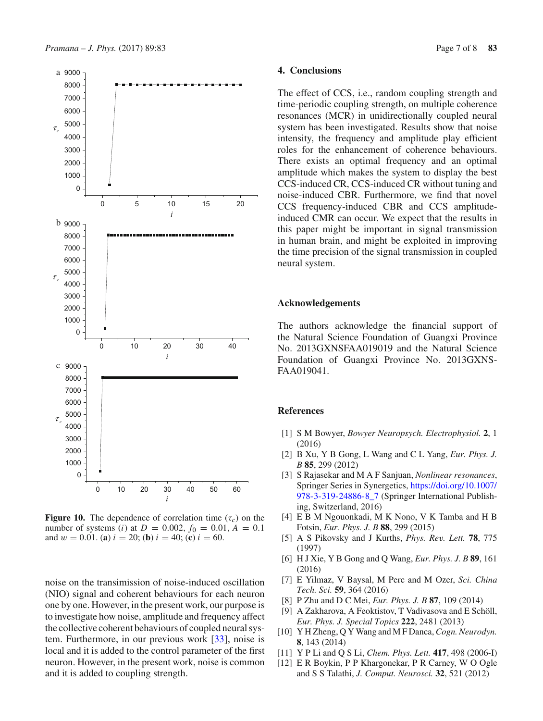

<span id="page-6-13"></span>**Figure 10.** The dependence of correlation time  $(\tau_c)$  on the number of systems (*i*) at  $D = 0.002$ ,  $f_0 = 0.01$ ,  $A = 0.1$ and  $w = 0.01$ . (**a**)  $i = 20$ ; (**b**)  $i = 40$ ; (**c**)  $i = 60$ .

noise on the transimission of noise-induced oscillation (NIO) signal and coherent behaviours for each neuron one by one. However, in the present work, our purpose is to investigate how noise, amplitude and frequency affect the collective coherent behaviours of coupled neural system. Furthermore, in our previous work [\[33](#page-7-11)], noise is local and it is added to the control parameter of the first neuron. However, in the present work, noise is common and it is added to coupling strength.

## <span id="page-6-11"></span>**4. Conclusions**

The effect of CCS, i.e., random coupling strength and time-periodic coupling strength, on multiple coherence resonances (MCR) in unidirectionally coupled neural system has been investigated. Results show that noise intensity, the frequency and amplitude play efficient roles for the enhancement of coherence behaviours. There exists an optimal frequency and an optimal amplitude which makes the system to display the best CCS-induced CR, CCS-induced CR without tuning and noise-induced CBR. Furthermore, we find that novel CCS frequency-induced CBR and CCS amplitudeinduced CMR can occur. We expect that the results in this paper might be important in signal transmission in human brain, and might be exploited in improving the time precision of the signal transmission in coupled neural system.

# **Acknowledgements**

The authors acknowledge the financial support of the Natural Science Foundation of Guangxi Province No. 2013GXNSFAA019019 and the Natural Science Foundation of Guangxi Province No. 2013GXNS-FAA019041.

## **References**

- <span id="page-6-0"></span>[1] S M Bowyer, *Bowyer Neuropsych. Electrophysiol.* **2**, 1 (2016)
- <span id="page-6-12"></span>[2] B Xu, Y B Gong, L Wang and C L Yang, *Eur. Phys. J. B* **85**, 299 (2012)
- <span id="page-6-1"></span>[3] S Rajasekar and M A F Sanjuan, *Nonlinear resonances*, Springer Series in Synergetics, [https://doi.org/10.1007/](https://doi.org/10.1007/978-3-319-24886-8_7) [978-3-319-24886-8\\_7](https://doi.org/10.1007/978-3-319-24886-8_7) (Springer International Publishing, Switzerland, 2016)
- <span id="page-6-2"></span>[4] E B M Ngouonkadi, M K Nono, V K Tamba and H B Fotsin, *Eur. Phys. J. B* **88**, 299 (2015)
- <span id="page-6-3"></span>[5] A S Pikovsky and J Kurths, *Phys. Rev. Lett.* **78**, 775 (1997)
- <span id="page-6-7"></span>[6] H J Xie, Y B Gong and Q Wang, *Eur. Phys. J. B* **89**, 161 (2016)
- <span id="page-6-5"></span>[7] E Yilmaz, V Baysal, M Perc and M Ozer, *Sci. China Tech. Sci.* **59**, 364 (2016)
- <span id="page-6-8"></span>[8] P Zhu and D C Mei, *Eur. Phys. J. B* **87**, 109 (2014)
- <span id="page-6-9"></span>[9] A Zakharova, A Feoktistov, T Vadivasova and E Schöll, *Eur. Phys. J. Special Topics* **222**, 2481 (2013)
- <span id="page-6-4"></span>[10] Y H Zheng, Q Y Wang and M F Danca,*Cogn. Neurodyn.* **8**, 143 (2014)
- <span id="page-6-6"></span>[11] Y P Li and Q S Li, *Chem. Phys. Lett.* **417**, 498 (2006-I)
- <span id="page-6-10"></span>[12] E R Boykin, P P Khargonekar, P R Carney, W O Ogle and S S Talathi, *J. Comput. Neurosci.* **32**, 521 (2012)